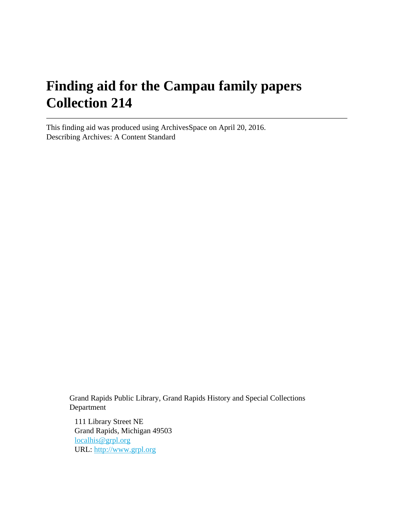# **Finding aid for the Campau family papers Collection 214**

This finding aid was produced using ArchivesSpace on April 20, 2016. Describing Archives: A Content Standard

> Grand Rapids Public Library, Grand Rapids History and Special Collections Department

111 Library Street NE Grand Rapids, Michigan 49503 [localhis@grpl.org](mailto:localhis@grpl.org) URL:<http://www.grpl.org>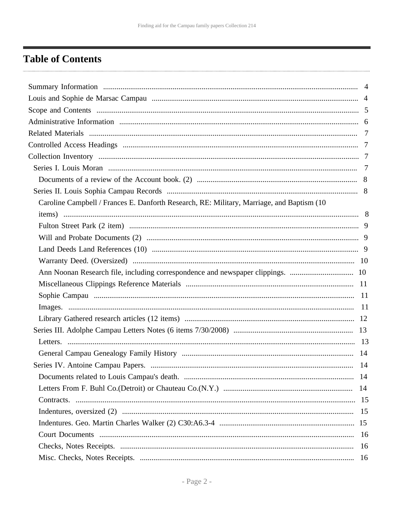## <span id="page-1-0"></span>**Table of Contents**

| Caroline Campbell / Frances E. Danforth Research, RE: Military, Marriage, and Baptism (10) |    |
|--------------------------------------------------------------------------------------------|----|
|                                                                                            |    |
|                                                                                            |    |
|                                                                                            |    |
|                                                                                            |    |
|                                                                                            |    |
| Ann Noonan Research file, including correspondence and newspaper clippings.  10            |    |
|                                                                                            |    |
|                                                                                            |    |
|                                                                                            |    |
|                                                                                            |    |
|                                                                                            |    |
|                                                                                            |    |
|                                                                                            |    |
|                                                                                            |    |
|                                                                                            |    |
|                                                                                            |    |
|                                                                                            |    |
|                                                                                            |    |
|                                                                                            |    |
|                                                                                            |    |
|                                                                                            | 16 |
|                                                                                            |    |
|                                                                                            |    |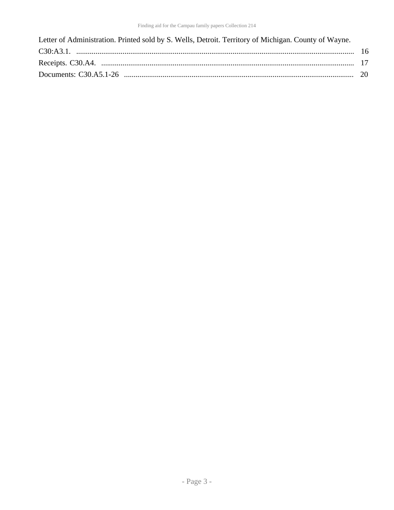| Letter of Administration. Printed sold by S. Wells, Detroit. Territory of Michigan. County of Wayne. |  |
|------------------------------------------------------------------------------------------------------|--|
|                                                                                                      |  |
|                                                                                                      |  |
|                                                                                                      |  |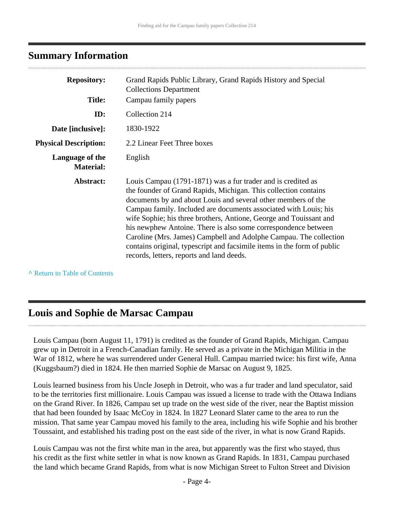### <span id="page-3-0"></span>**Summary Information**

| <b>Repository:</b><br>Grand Rapids Public Library, Grand Rapids History and Special<br><b>Collections Department</b> |                                                                                                                                                                                                                                                                                                                                                                                                                                                                                                                                                                                                           |
|----------------------------------------------------------------------------------------------------------------------|-----------------------------------------------------------------------------------------------------------------------------------------------------------------------------------------------------------------------------------------------------------------------------------------------------------------------------------------------------------------------------------------------------------------------------------------------------------------------------------------------------------------------------------------------------------------------------------------------------------|
| <b>Title:</b>                                                                                                        | Campau family papers                                                                                                                                                                                                                                                                                                                                                                                                                                                                                                                                                                                      |
| ID:                                                                                                                  | Collection 214                                                                                                                                                                                                                                                                                                                                                                                                                                                                                                                                                                                            |
| Date [inclusive]:                                                                                                    | 1830-1922                                                                                                                                                                                                                                                                                                                                                                                                                                                                                                                                                                                                 |
| <b>Physical Description:</b>                                                                                         | 2.2 Linear Feet Three boxes                                                                                                                                                                                                                                                                                                                                                                                                                                                                                                                                                                               |
| Language of the<br><b>Material:</b>                                                                                  | English                                                                                                                                                                                                                                                                                                                                                                                                                                                                                                                                                                                                   |
| Abstract:                                                                                                            | Louis Campau (1791-1871) was a fur trader and is credited as<br>the founder of Grand Rapids, Michigan. This collection contains<br>documents by and about Louis and several other members of the<br>Campau family. Included are documents associated with Louis; his<br>wife Sophie; his three brothers, Antione, George and Touissant and<br>his newphew Antoine. There is also some correspondence between<br>Caroline (Mrs. James) Campbell and Adolphe Campau. The collection<br>contains original, typescript and facsimile items in the form of public<br>records, letters, reports and land deeds. |

**^** [Return to Table of Contents](#page-1-0)

### <span id="page-3-1"></span>**Louis and Sophie de Marsac Campau**

Louis Campau (born August 11, 1791) is credited as the founder of Grand Rapids, Michigan. Campau grew up in Detroit in a French-Canadian family. He served as a private in the Michigan Militia in the War of 1812, where he was surrendered under General Hull. Campau married twice: his first wife, Anna (Kuggsbaum?) died in 1824. He then married Sophie de Marsac on August 9, 1825.

Louis learned business from his Uncle Joseph in Detroit, who was a fur trader and land speculator, said to be the territories first millionaire. Louis Campau was issued a license to trade with the Ottawa Indians on the Grand River. In 1826, Campau set up trade on the west side of the river, near the Baptist mission that had been founded by Isaac McCoy in 1824. In 1827 Leonard Slater came to the area to run the mission. That same year Campau moved his family to the area, including his wife Sophie and his brother Toussaint, and established his trading post on the east side of the river, in what is now Grand Rapids.

Louis Campau was not the first white man in the area, but apparently was the first who stayed, thus his credit as the first white settler in what is now known as Grand Rapids. In 1831, Campau purchased the land which became Grand Rapids, from what is now Michigan Street to Fulton Street and Division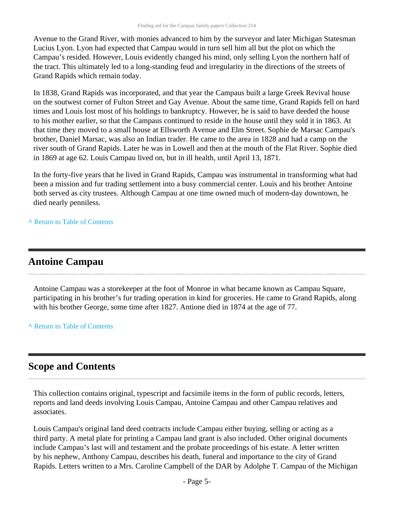Avenue to the Grand River, with monies advanced to him by the surveyor and later Michigan Statesman Lucius Lyon. Lyon had expected that Campau would in turn sell him all but the plot on which the Campau's resided. However, Louis evidently changed his mind, only selling Lyon the northern half of the tract. This ultimately led to a long-standing feud and irregularity in the directions of the streets of Grand Rapids which remain today.

In 1838, Grand Rapids was incorporated, and that year the Campaus built a large Greek Revival house on the soutwest corner of Fulton Street and Gay Avenue. About the same time, Grand Rapids fell on hard times and Louis lost most of his holdings to bankruptcy. However, he is said to have deeded the house to his mother earlier, so that the Campaus continued to reside in the house until they sold it in 1863. At that time they moved to a small house at Ellsworth Avenue and Elm Street. Sophie de Marsac Campau's brother, Daniel Marsac, was also an Indian trader. He came to the area in 1828 and had a camp on the river south of Grand Rapids. Later he was in Lowell and then at the mouth of the Flat River. Sophie died in 1869 at age 62. Louis Campau lived on, but in ill health, until April 13, 1871.

In the forty-five years that he lived in Grand Rapids, Campau was instrumental in transforming what had been a mission and fur trading settlement into a busy commercial center. Louis and his brother Antoine both served as city trustees. Although Campau at one time owned much of modern-day downtown, he died nearly penniless.

**^** [Return to Table of Contents](#page-1-0)

### **Antoine Campau**

Antoine Campau was a storekeeper at the foot of Monroe in what became known as Campau Square, participating in his brother's fur trading operation in kind for groceries. He came to Grand Rapids, along with his brother George, some time after 1827. Antione died in 1874 at the age of 77.

**^** [Return to Table of Contents](#page-1-0)

### <span id="page-4-0"></span>**Scope and Contents**

This collection contains original, typescript and facsimile items in the form of public records, letters, reports and land deeds involving Louis Campau, Antoine Campau and other Campau relatives and associates.

Louis Campau's original land deed contracts include Campau either buying, selling or acting as a third party. A metal plate for printing a Campau land grant is also included. Other original documents include Campau's last will and testament and the probate proceedings of his estate. A letter written by his nephew, Anthony Campau, describes his death, funeral and importance to the city of Grand Rapids. Letters written to a Mrs. Caroline Campbell of the DAR by Adolphe T. Campau of the Michigan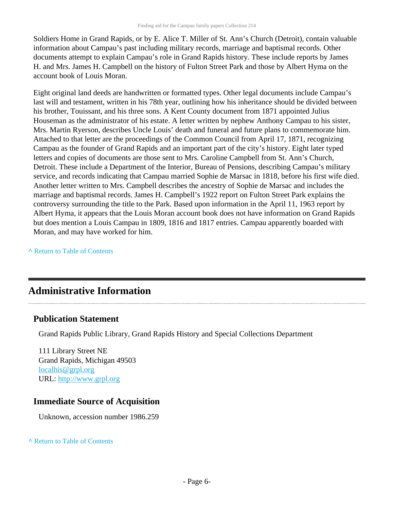Soldiers Home in Grand Rapids, or by E. Alice T. Miller of St. Ann's Church (Detroit), contain valuable information about Campau's past including military records, marriage and baptismal records. Other documents attempt to explain Campau's role in Grand Rapids history. These include reports by James H. and Mrs. James H. Campbell on the history of Fulton Street Park and those by Albert Hyma on the account book of Louis Moran.

Eight original land deeds are handwritten or formatted types. Other legal documents include Campau's last will and testament, written in his 78th year, outlining how his inheritance should be divided between his brother, Touissant, and his three sons. A Kent County document from 1871 appointed Julius Houseman as the administrator of his estate. A letter written by nephew Anthony Campau to his sister, Mrs. Martin Ryerson, describes Uncle Louis' death and funeral and future plans to commemorate him. Attached to that letter are the proceedings of the Common Council from April 17, 1871, recognizing Campau as the founder of Grand Rapids and an important part of the city's history. Eight later typed letters and copies of documents are those sent to Mrs. Caroline Campbell from St. Ann's Church, Detroit. These include a Department of the Interior, Bureau of Pensions, describing Campau's military service, and records indicating that Campau married Sophie de Marsac in 1818, before his first wife died. Another letter written to Mrs. Campbell describes the ancestry of Sophie de Marsac and includes the marriage and baptismal records. James H. Campbell's 1922 report on Fulton Street Park explains the controversy surrounding the title to the Park. Based upon information in the April 11, 1963 report by Albert Hyma, it appears that the Louis Moran account book does not have information on Grand Rapids but does mention a Louis Campau in 1809, 1816 and 1817 entries. Campau apparently boarded with Moran, and may have worked for him.

**^** [Return to Table of Contents](#page-1-0)

## <span id="page-5-0"></span>**Administrative Information**

#### **Publication Statement**

Grand Rapids Public Library, Grand Rapids History and Special Collections Department

111 Library Street NE Grand Rapids, Michigan 49503 [localhis@grpl.org](mailto:localhis@grpl.org) URL:<http://www.grpl.org>

#### **Immediate Source of Acquisition**

Unknown, accession number 1986.259

#### **^** [Return to Table of Contents](#page-1-0)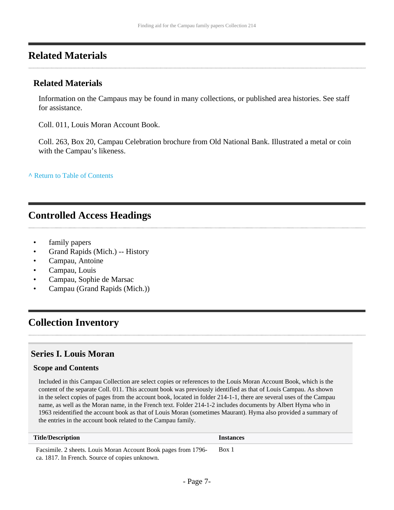### <span id="page-6-0"></span>**Related Materials**

#### **Related Materials**

Information on the Campaus may be found in many collections, or published area histories. See staff for assistance.

Coll. 011, Louis Moran Account Book.

Coll. 263, Box 20, Campau Celebration brochure from Old National Bank. Illustrated a metal or coin with the Campau's likeness.

**^** [Return to Table of Contents](#page-1-0)

#### <span id="page-6-1"></span>**Controlled Access Headings**

- family papers
- Grand Rapids (Mich.) -- History
- Campau, Antoine
- Campau, Louis
- Campau, Sophie de Marsac
- Campau (Grand Rapids (Mich.))

### <span id="page-6-2"></span>**Collection Inventory**

#### <span id="page-6-3"></span>**Series I. Louis Moran**

#### **Scope and Contents**

Included in this Campau Collection are select copies or references to the Louis Moran Account Book, which is the content of the separate Coll. 011. This account book was previously identified as that of Louis Campau. As shown in the select copies of pages from the account book, located in folder 214-1-1, there are several uses of the Campau name, as well as the Moran name, in the French text. Folder 214-1-2 includes documents by Albert Hyma who in 1963 reidentified the account book as that of Louis Moran (sometimes Maurant). Hyma also provided a summary of the entries in the account book related to the Campau family.

| <b>Title/Description</b>                                       | <b>Instances</b> |
|----------------------------------------------------------------|------------------|
| Facsimile. 2 sheets. Louis Moran Account Book pages from 1796- | Box 1            |
| ca. 1817. In French. Source of copies unknown.                 |                  |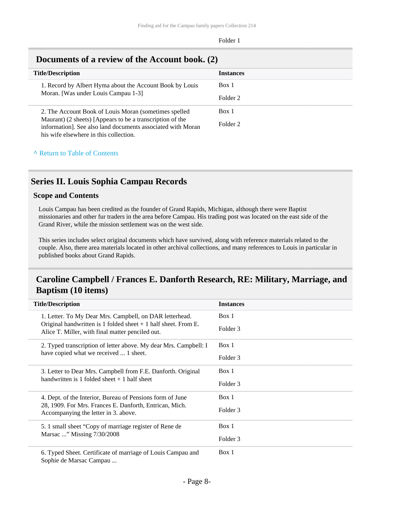| <b>Title/Description</b><br><b>Instances</b>                                                                                                                       |          |  |
|--------------------------------------------------------------------------------------------------------------------------------------------------------------------|----------|--|
| 1. Record by Albert Hyma about the Account Book by Louis                                                                                                           | Box 1    |  |
| Moran. [Was under Louis Campau 1-3]                                                                                                                                | Folder 2 |  |
| 2. The Account Book of Louis Moran (sometimes spelled)                                                                                                             | Box 1    |  |
| Maurant) (2 sheets) [Appears to be a transcription of the<br>information]. See also land documents associated with Moran<br>his wife elsewhere in this collection. | Folder 2 |  |

#### <span id="page-7-0"></span>**Documents of a review of the Account book. (2)**

#### **^** [Return to Table of Contents](#page-1-0)

#### <span id="page-7-1"></span>**Series II. Louis Sophia Campau Records**

#### **Scope and Contents**

Louis Campau has been credited as the founder of Grand Rapids, Michigan, although there were Baptist missionaries and other fur traders in the area before Campau. His trading post was located on the east side of the Grand River, while the mission settlement was on the west side.

This series includes select original documents which have survived, along with reference materials related to the couple. Also, there area materials located in other archival collections, and many references to Louis in particular in published books about Grand Rapids.

#### <span id="page-7-2"></span>**Caroline Campbell / Frances E. Danforth Research, RE: Military, Marriage, and Baptism (10 items)**

| <b>Title/Description</b>                                                                                                                                                        | <b>Instances</b> |
|---------------------------------------------------------------------------------------------------------------------------------------------------------------------------------|------------------|
| 1. Letter. To My Dear Mrs. Campbell, on DAR letterhead.<br>Original handwritten is 1 folded sheet $+$ 1 half sheet. From E.<br>Alice T. Miller, with final matter penciled out. | Box 1            |
|                                                                                                                                                                                 | Folder 3         |
| 2. Typed transcription of letter above. My dear Mrs. Campbell: I<br>have copied what we received  1 sheet.                                                                      | Box 1            |
|                                                                                                                                                                                 | Folder 3         |
| 3. Letter to Dear Mrs. Campbell from F.E. Danforth. Original                                                                                                                    | Box 1            |
| handwritten is 1 folded sheet $+1$ half sheet                                                                                                                                   | Folder 3         |
| 4. Dept. of the Interior, Bureau of Pensions form of June<br>28, 1909. For Mrs. Frances E. Danforth, Entrican, Mich.<br>Accompanying the letter in 3. above.                    | Box 1            |
|                                                                                                                                                                                 | Folder 3         |
| 5. 1 small sheet "Copy of marriage register of Rene de<br>Marsac " Missing 7/30/2008                                                                                            | Box 1            |
|                                                                                                                                                                                 | Folder 3         |
| 6. Typed Sheet. Certificate of marriage of Louis Campau and<br>Sophie de Marsac Campau                                                                                          | Box 1            |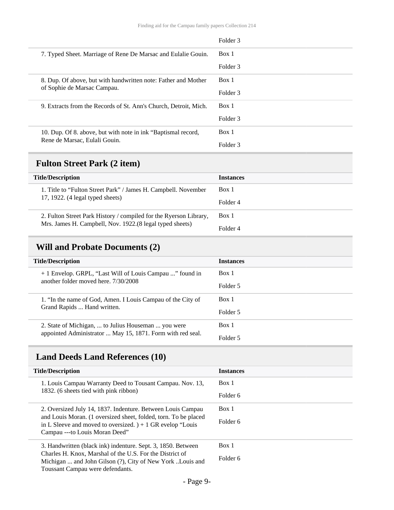|                                                                  | Folder 3            |
|------------------------------------------------------------------|---------------------|
| 7. Typed Sheet. Marriage of Rene De Marsac and Eulalie Gouin.    | Box 1               |
|                                                                  | Folder 3            |
| 8. Dup. Of above, but with handwritten note: Father and Mother   | Box 1               |
| of Sophie de Marsac Campau.                                      | Folder 3            |
| 9. Extracts from the Records of St. Ann's Church, Detroit, Mich. | Box 1               |
|                                                                  | Folder 3            |
| 10. Dup. Of 8. above, but with note in ink "Baptismal record,    | Box 1               |
| Rene de Marsac, Eulali Gouin.                                    | Folder <sub>3</sub> |

## <span id="page-8-0"></span>**Fulton Street Park (2 item)**

| <b>Instances</b> |
|------------------|
| Box 1            |
| Folder 4         |
| Box 1            |
| Folder 4         |
|                  |

## <span id="page-8-1"></span>**Will and Probate Documents (2)**

| <b>Title/Description</b>                                    | <b>Instances</b> |
|-------------------------------------------------------------|------------------|
| + 1 Envelop. GRPL, "Last Will of Louis Campau " found in    | Box 1            |
| another folder moved here, 7/30/2008                        | Folder 5         |
| 1. "In the name of God, Amen. I Louis Campau of the City of | Box 1            |
| Grand Rapids  Hand written.                                 | Folder 5         |
| 2. State of Michigan,  to Julius Houseman  you were         | Box 1            |
| appointed Administrator  May 15, 1871. Form with red seal.  | Folder 5         |

## <span id="page-8-2"></span>**Land Deeds Land References (10)**

| <b>Title/Description</b>                                                                                                                                         | <b>Instances</b> |
|------------------------------------------------------------------------------------------------------------------------------------------------------------------|------------------|
| 1. Louis Campau Warranty Deed to Tousant Campau. Nov. 13,<br>1832. (6 sheets tied with pink ribbon)                                                              | Box 1            |
|                                                                                                                                                                  | Folder 6         |
| 2. Oversized July 14, 1837. Indenture. Between Louis Campau                                                                                                      | Box 1            |
| and Louis Moran. (1 oversized sheet, folded, torn. To be placed<br>in L Sleeve and moved to oversized. $+1$ GR evelop "Louis"<br>Campau --- to Louis Moran Deed" | Folder 6         |
| 3. Handwritten (black ink) indenture. Sept. 3, 1850. Between                                                                                                     | Box 1            |
| Charles H. Knox, Marshal of the U.S. For the District of<br>Michigan  and John Gilson (?), City of New York Louis and<br>Toussant Campau were defendants.        | Folder 6         |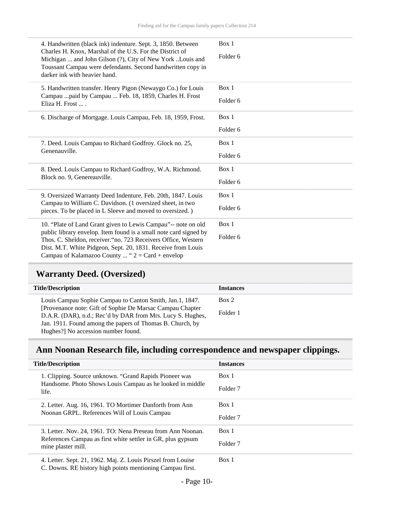|                                                                                                                                                                                        | 4. Handwritten (black ink) indenture. Sept. 3, 1850. Between<br>Charles H. Knox, Marshal of the U.S. For the District of<br>Michigan  and John Gilson (?), City of New York Louis and<br>Toussant Campau were defendants. Second handwritten copy in<br>darker ink with heavier hand. | Box 1<br>Folder 6            |
|----------------------------------------------------------------------------------------------------------------------------------------------------------------------------------------|---------------------------------------------------------------------------------------------------------------------------------------------------------------------------------------------------------------------------------------------------------------------------------------|------------------------------|
|                                                                                                                                                                                        | 5. Handwritten transfer. Henry Pigon (Newaygo Co.) for Louis<br>Campau  paid by Campau  Feb. 18, 1859, Charles H. Frost<br>Eliza H. Frost                                                                                                                                             | Box 1<br>Folder <sub>6</sub> |
|                                                                                                                                                                                        | 6. Discharge of Mortgage. Louis Campau, Feb. 18, 1959, Frost.                                                                                                                                                                                                                         | Box 1                        |
|                                                                                                                                                                                        |                                                                                                                                                                                                                                                                                       | Folder <sub>6</sub>          |
|                                                                                                                                                                                        | 7. Deed. Louis Campau to Richard Godfroy. Glock no. 25,<br>Genenauville.                                                                                                                                                                                                              | Box 1                        |
|                                                                                                                                                                                        |                                                                                                                                                                                                                                                                                       | Folder <sub>6</sub>          |
|                                                                                                                                                                                        | 8. Deed. Louis Campau to Richard Godfroy, W.A. Richmond.<br>Block no. 9, Genereauville.                                                                                                                                                                                               | Box 1                        |
|                                                                                                                                                                                        |                                                                                                                                                                                                                                                                                       | Folder <sub>6</sub>          |
| 9. Oversized Warranty Deed Indenture. Feb. 20th, 1847. Louis<br>Campau to William C. Davidson. (1 oversized sheet, in two<br>pieces. To be placed in L Sleeve and moved to oversized.) |                                                                                                                                                                                                                                                                                       | Box 1                        |
|                                                                                                                                                                                        | Folder <sub>6</sub>                                                                                                                                                                                                                                                                   |                              |
| public library envelop. Item found is a small note card signed by                                                                                                                      | 10. "Plate of Land Grant given to Lewis Campau"-- note on old                                                                                                                                                                                                                         | Box 1                        |
|                                                                                                                                                                                        | Thos. C. Sheldon, receiver. "no. 723 Receivers Office, Western<br>Dist. M.T. White Pidgeon, Sept. 20, 1831. Receive from Louis<br>Campau of Kalamazoo County  " $2 = Card + envelope$                                                                                                 | Folder <sub>6</sub>          |

## <span id="page-9-0"></span>**Warranty Deed. (Oversized)**

| <b>Title/Description</b>                                   | <b>Instances</b> |
|------------------------------------------------------------|------------------|
| Louis Campau Sophie Campau to Canton Smith, Jan.1, 1847.   | Box 2            |
| [Provenance note: Gift of Sophie De Marsac Campau Chapter] |                  |
| D.A.R. (DAR), n.d.; Rec'd by DAR from Mrs. Lucy S. Hughes, | Folder 1         |
| Jan. 1911. Found among the papers of Thomas B. Church, by  |                  |
| Hughes?] No accession number found.                        |                  |

## <span id="page-9-1"></span>**Ann Noonan Research file, including correspondence and newspaper clippings.**

| <b>Title/Description</b> |                                                                                                                                                  | <b>Instances</b>    |
|--------------------------|--------------------------------------------------------------------------------------------------------------------------------------------------|---------------------|
|                          | 1. Clipping. Source unknown. "Grand Rapids Pioneer was<br>Handsome. Photo Shows Louis Campau as he looked in middle<br>life.                     | Box 1               |
|                          |                                                                                                                                                  | Folder <sub>7</sub> |
|                          | 2. Letter. Aug. 16, 1961. TO Mortimer Danforth from Ann<br>Noonan GRPL. References Will of Louis Campau                                          | Box 1               |
|                          |                                                                                                                                                  | Folder <sub>7</sub> |
|                          | 3. Letter. Nov. 24, 1961. TO: Nena Preseau from Ann Noonan.<br>References Campau as first white settler in GR, plus gypsum<br>mine plaster mill. | Box 1               |
|                          |                                                                                                                                                  | Folder <sub>7</sub> |
|                          | 4. Letter. Sept. 21, 1962. Maj. Z. Louis Pirszel from Louise<br>C. Downs. RE history high points mentioning Campau first.                        | Box 1               |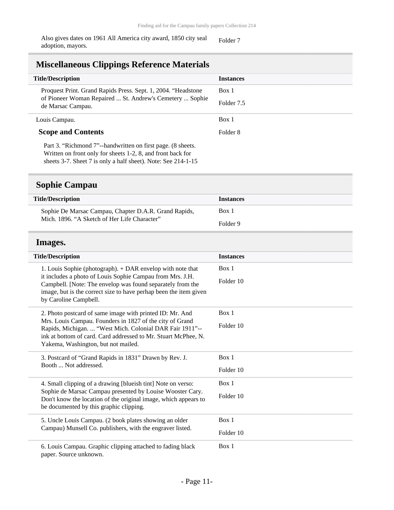Also gives dates on 1961 All America city award, 1850 city seal adoption, mayors.

Folder 7

### <span id="page-10-0"></span>**Miscellaneous Clippings Reference Materials**

| <b>Title/Description</b>                                                      | <b>Instances</b> |
|-------------------------------------------------------------------------------|------------------|
| Proquest Print. Grand Rapids Press. Sept. 1, 2004. "Headstone"                | Box 1            |
| of Pioneer Woman Repaired  St. Andrew's Cemetery  Sophie<br>de Marsac Campau. | Folder 7.5       |
| Louis Campau.                                                                 | Box 1            |
| <b>Scope and Contents</b>                                                     | Folder 8         |
| $\mathbb{R}$ a $\mathbb{R}$ is a set of $\mathbb{R}$                          |                  |

Part 3. "Richmond 7"--handwritten on first page. (8 sheets. Written on front only for sheets 1-2, 8, and front back for sheets 3-7. Sheet 7 is only a half sheet). Note: See 214-1-15

#### <span id="page-10-1"></span>**Sophie Campau**

| <b>Title/Description</b>                              | <b>Instances</b> |
|-------------------------------------------------------|------------------|
| Sophie De Marsac Campau, Chapter D.A.R. Grand Rapids, | Box 1            |
| Mich. 1896. "A Sketch of Her Life Character"          | Folder 9         |

#### <span id="page-10-2"></span>**Images.**

| <b>Title/Description</b>                                                                                                                                                                                                                                                            | <b>Instances</b> |  |  |
|-------------------------------------------------------------------------------------------------------------------------------------------------------------------------------------------------------------------------------------------------------------------------------------|------------------|--|--|
| 1. Louis Sophie (photograph). + DAR envelop with note that<br>it includes a photo of Louis Sophie Campau from Mrs. J.H.<br>Campbell. [Note: The envelop was found separately from the<br>image, but is the correct size to have perhap been the item given<br>by Caroline Campbell. | Box 1            |  |  |
|                                                                                                                                                                                                                                                                                     | Folder 10        |  |  |
| 2. Photo postcard of same image with printed ID: Mr. And                                                                                                                                                                                                                            | Box 1            |  |  |
| Mrs. Louis Campau. Founders in 1827 of the city of Grand<br>Rapids, Michigan.  "West Mich. Colonial DAR Fair 1911"--<br>ink at bottom of card. Card addressed to Mr. Stuart McPhee, N.<br>Yakema, Washington, but not mailed.                                                       | Folder 10        |  |  |
| 3. Postcard of "Grand Rapids in 1831" Drawn by Rev. J.<br>Booth  Not addressed.                                                                                                                                                                                                     | Box 1            |  |  |
|                                                                                                                                                                                                                                                                                     | Folder 10        |  |  |
| 4. Small clipping of a drawing [blueish tint] Note on verso:<br>Sophie de Marsac Campau presented by Louise Wooster Cary.<br>Don't know the location of the original image, which appears to<br>be documented by this graphic clipping.                                             | Box 1            |  |  |
|                                                                                                                                                                                                                                                                                     | Folder 10        |  |  |
| 5. Uncle Louis Campau. (2 book plates showing an older<br>Campau) Munsell Co. publishers, with the engraver listed.                                                                                                                                                                 | Box 1            |  |  |
|                                                                                                                                                                                                                                                                                     | Folder 10        |  |  |
| 6. Louis Campau. Graphic clipping attached to fading black<br>paper. Source unknown.                                                                                                                                                                                                | Box 1            |  |  |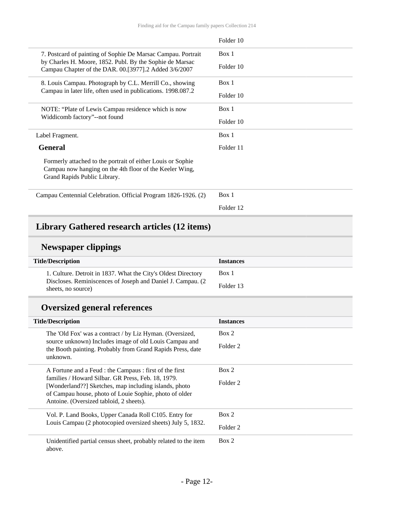|                                                                                                                                                        | Folder 10 |
|--------------------------------------------------------------------------------------------------------------------------------------------------------|-----------|
| 7. Postcard of painting of Sophie De Marsac Campau. Portrait                                                                                           | Box 1     |
| by Charles H. Moore, 1852. Publ. By the Sophie de Marsac<br>Campau Chapter of the DAR. 00.[3977].2 Added 3/6/2007                                      | Folder 10 |
| 8. Louis Campau. Photograph by C.L. Merrill Co., showing<br>Campau in later life, often used in publications. 1998.087.2                               | Box 1     |
|                                                                                                                                                        | Folder 10 |
| NOTE: "Plate of Lewis Campau residence which is now<br>Widdicomb factory"--not found                                                                   | Box 1     |
|                                                                                                                                                        | Folder 10 |
| Label Fragment.                                                                                                                                        | Box 1     |
| <b>General</b>                                                                                                                                         | Folder 11 |
| Formerly attached to the portrait of either Louis or Sophie<br>Campau now hanging on the 4th floor of the Keeler Wing,<br>Grand Rapids Public Library. |           |
| Campau Centennial Celebration. Official Program 1826-1926. (2)                                                                                         | Box 1     |
|                                                                                                                                                        | Folder 12 |

#### <span id="page-11-0"></span>**Library Gathered research articles (12 items)**

### **Newspaper clippings**

| <b>Title/Description</b>                                                           | <b>Instances</b> |
|------------------------------------------------------------------------------------|------------------|
| 1. Culture. Detroit in 1837. What the City's Oldest Directory                      | Box 1            |
| Discloses. Reminiscences of Joseph and Daniel J. Campau. (2)<br>sheets, no source) | Folder 13        |

## **Oversized general references**

| <b>Title/Description</b>                                                                                                                                                                     | <b>Instances</b>    |
|----------------------------------------------------------------------------------------------------------------------------------------------------------------------------------------------|---------------------|
| The 'Old Fox' was a contract / by Liz Hyman. (Oversized,<br>source unknown) Includes image of old Louis Campau and<br>the Booth painting. Probably from Grand Rapids Press, date<br>unknown. | Box 2               |
|                                                                                                                                                                                              | Folder 2            |
| A Fortune and a Feud : the Campaus : first of the first                                                                                                                                      | Box 2               |
| families / Howard Silbar. GR Press, Feb. 18, 1979.<br>[Wonderland??] Sketches, map including islands, photo                                                                                  | Folder <sub>2</sub> |
| of Campau house, photo of Louie Sophie, photo of older                                                                                                                                       |                     |
| Antoine. (Oversized tabloid, 2 sheets).                                                                                                                                                      |                     |
| Vol. P. Land Books, Upper Canada Roll C105. Entry for                                                                                                                                        | Box 2               |
| Louis Campau (2 photocopied oversized sheets) July 5, 1832.                                                                                                                                  | Folder 2            |
| Unidentified partial census sheet, probably related to the item<br>above.                                                                                                                    | Box 2               |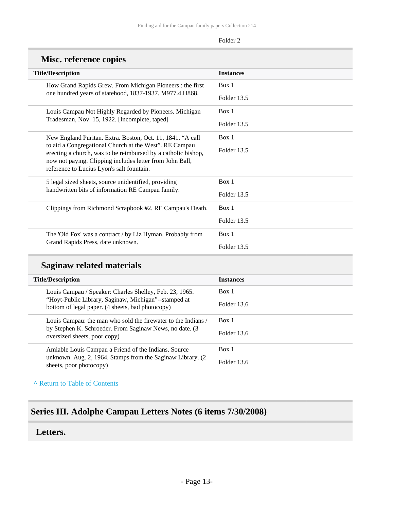| <b>NISC. reference copies</b>                                                                                                                                                                                                                                                                  |                  |  |
|------------------------------------------------------------------------------------------------------------------------------------------------------------------------------------------------------------------------------------------------------------------------------------------------|------------------|--|
| <b>Title/Description</b>                                                                                                                                                                                                                                                                       | <b>Instances</b> |  |
| How Grand Rapids Grew. From Michigan Pioneers: the first<br>one hundred years of statehood, 1837-1937. M977.4.H868.                                                                                                                                                                            | Box 1            |  |
|                                                                                                                                                                                                                                                                                                | Folder 13.5      |  |
| Louis Campau Not Highly Regarded by Pioneers. Michigan                                                                                                                                                                                                                                         | Box 1            |  |
| Tradesman, Nov. 15, 1922. [Incomplete, taped]                                                                                                                                                                                                                                                  | Folder 13.5      |  |
| New England Puritan. Extra. Boston, Oct. 11, 1841. "A call<br>to aid a Congregational Church at the West". RE Campau<br>erecting a church, was to be reimbursed by a catholic bishop,<br>now not paying. Clipping includes letter from John Ball,<br>reference to Lucius Lyon's salt fountain. | Box 1            |  |
|                                                                                                                                                                                                                                                                                                | Folder 13.5      |  |
|                                                                                                                                                                                                                                                                                                |                  |  |
|                                                                                                                                                                                                                                                                                                |                  |  |
| 5 legal sized sheets, source unidentified, providing<br>handwritten bits of information RE Campau family.                                                                                                                                                                                      | Box 1            |  |
|                                                                                                                                                                                                                                                                                                | Folder 13.5      |  |
| Clippings from Richmond Scrapbook #2. RE Campau's Death.                                                                                                                                                                                                                                       | Box 1            |  |
|                                                                                                                                                                                                                                                                                                | Folder 13.5      |  |
| The 'Old Fox' was a contract / by Liz Hyman. Probably from                                                                                                                                                                                                                                     | Box 1            |  |
| Grand Rapids Press, date unknown.                                                                                                                                                                                                                                                              | Folder 13.5      |  |

#### **Misc. reference copies**

## **Saginaw related materials**

**^** [Return to Table of Contents](#page-1-0)

## <span id="page-12-0"></span>**Series III. Adolphe Campau Letters Notes (6 items 7/30/2008)**

#### <span id="page-12-1"></span>**Letters.**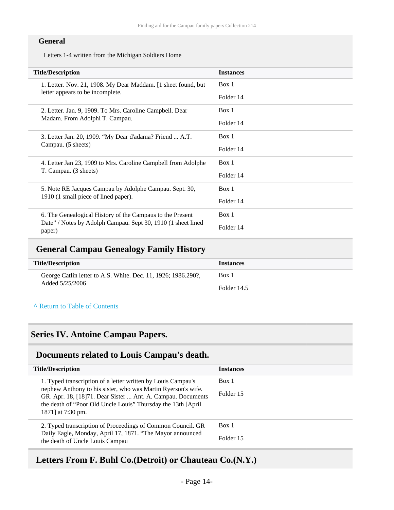#### **General**

Letters 1-4 written from the Michigan Soldiers Home

| <b>Title/Description</b>                                                                          | <b>Instances</b> |  |
|---------------------------------------------------------------------------------------------------|------------------|--|
| 1. Letter. Nov. 21, 1908. My Dear Maddam. [1 sheet found, but<br>letter appears to be incomplete. | Box 1            |  |
|                                                                                                   | Folder 14        |  |
| 2. Letter. Jan. 9, 1909. To Mrs. Caroline Campbell. Dear<br>Madam. From Adolphi T. Campau.        | Box 1            |  |
|                                                                                                   | Folder 14        |  |
| 3. Letter Jan. 20, 1909. "My Dear d'adama? Friend  A.T.<br>Campau. (5 sheets)                     | Box 1            |  |
|                                                                                                   | Folder 14        |  |
| 4. Letter Jan 23, 1909 to Mrs. Caroline Campbell from Adolphe<br>T. Campau. (3 sheets)            | Box 1            |  |
|                                                                                                   | Folder 14        |  |
| 5. Note RE Jacques Campau by Adolphe Campau. Sept. 30,<br>1910 (1 small piece of lined paper).    | Box 1            |  |
|                                                                                                   | Folder 14        |  |
| 6. The Genealogical History of the Campaus to the Present                                         | Box 1            |  |
| Date" / Notes by Adolph Campau. Sept 30, 1910 (1 sheet lined<br>paper)                            | Folder 14        |  |

### <span id="page-13-0"></span>**General Campau Genealogy Family History**

| <b>Title/Description</b>                                      | <b>Instances</b> |
|---------------------------------------------------------------|------------------|
| George Catlin letter to A.S. White. Dec. 11, 1926; 1986.290?, | Box 1            |
| Added 5/25/2006                                               | Folder 14.5      |

**^** [Return to Table of Contents](#page-1-0)

## <span id="page-13-1"></span>**Series IV. Antoine Campau Papers.**

#### <span id="page-13-2"></span>**Documents related to Louis Campau's death.**

| <b>Title/Description</b>                                                                                                                                                                                          | <b>Instances</b> |
|-------------------------------------------------------------------------------------------------------------------------------------------------------------------------------------------------------------------|------------------|
| 1. Typed transcription of a letter written by Louis Campau's                                                                                                                                                      | Box 1            |
| nephew Anthony to his sister, who was Martin Ryerson's wife.<br>GR. Apr. 18, [18]71. Dear Sister  Ant. A. Campau. Documents<br>the death of "Poor Old Uncle Louis" Thursday the 13th [April]<br>1871] at 7:30 pm. | Folder 15        |
| 2. Typed transcription of Proceedings of Common Council. GR                                                                                                                                                       | Box 1            |
| Daily Eagle, Monday, April 17, 1871. "The Mayor announced<br>the death of Uncle Louis Campau                                                                                                                      | Folder 15        |

### <span id="page-13-3"></span>**Letters From F. Buhl Co.(Detroit) or Chauteau Co.(N.Y.)**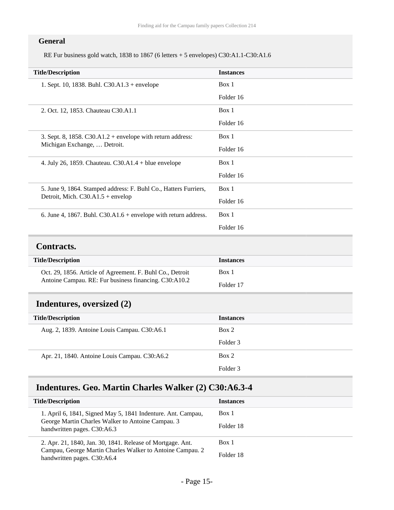#### **General**

RE Fur business gold watch, 1838 to 1867 (6 letters + 5 envelopes) C30:A1.1-C30:A1.6

| <b>Title/Description</b>                                                                                | <b>Instances</b> |
|---------------------------------------------------------------------------------------------------------|------------------|
| 1. Sept. 10, 1838. Buhl. $C30.A1.3 + envelope$                                                          | Box 1            |
|                                                                                                         | Folder 16        |
| 2. Oct. 12, 1853. Chauteau C30.A1.1                                                                     | Box 1            |
|                                                                                                         | Folder 16        |
| 3. Sept. 8, 1858. C30.A1.2 + envelope with return address:                                              | Box 1            |
| Michigan Exchange,  Detroit.                                                                            | Folder 16        |
| 4. July 26, 1859. Chauteau. $C30.A1.4 + blue$ envelope                                                  | Box 1            |
|                                                                                                         | Folder 16        |
| 5. June 9, 1864. Stamped address: F. Buhl Co., Hatters Furriers,<br>Detroit, Mich. $C30.A1.5 + envelop$ | Box 1            |
|                                                                                                         | Folder 16        |
| 6. June 4, 1867. Buhl. $C30.A1.6 +$ envelope with return address.                                       | Box 1            |
|                                                                                                         | Folder 16        |
| <b>Contracts.</b>                                                                                       |                  |
| <b>Title/Description</b>                                                                                | <b>Instances</b> |

<span id="page-14-0"></span>

| Oct. 29, 1856. Article of Agreement. F. Buhl Co., Detroit | Box 1     |
|-----------------------------------------------------------|-----------|
| Antoine Campau. RE: Fur business financing. C30:A10.2     | Folder 17 |

### <span id="page-14-1"></span>**Indentures, oversized (2)**

| <b>Title/Description</b>                      | <b>Instances</b>    |
|-----------------------------------------------|---------------------|
| Aug. 2, 1839. Antoine Louis Campau. C30:A6.1  | Box 2               |
|                                               | Folder 3            |
| Apr. 21, 1840. Antoine Louis Campau. C30:A6.2 | Box 2               |
|                                               | Folder <sub>3</sub> |

### <span id="page-14-2"></span>**Indentures. Geo. Martin Charles Walker (2) C30:A6.3-4**

| <b>Title/Description</b>                                                                 | <b>Instances</b> |
|------------------------------------------------------------------------------------------|------------------|
| 1. April 6, 1841, Signed May 5, 1841 Indenture. Ant. Campau,                             | Box 1            |
| George Martin Charles Walker to Antoine Campau. 3<br>handwritten pages. C30:A6.3         | Folder 18        |
| 2. Apr. 21, 1840, Jan. 30, 1841. Release of Mortgage. Ant.                               | Box 1            |
| Campau, George Martin Charles Walker to Antoine Campau. 2<br>handwritten pages. C30:A6.4 | Folder 18        |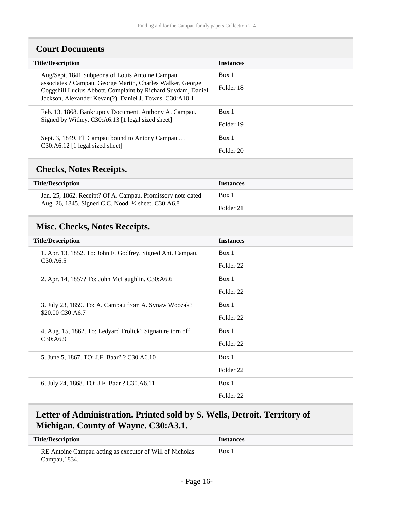<span id="page-15-0"></span>

| <b>Title/Description</b>                                                                                                                                                              | <b>Instances</b> |
|---------------------------------------------------------------------------------------------------------------------------------------------------------------------------------------|------------------|
| Aug/Sept. 1841 Subpeona of Louis Antoine Campau                                                                                                                                       | Box 1            |
| associates ? Campau, George Martin, Charles Walker, George<br>Coggshill Lucius Abbott. Complaint by Richard Suydam, Daniel<br>Jackson, Alexander Kevan(?), Daniel J. Towns. C30:A10.1 | Folder 18        |
| Feb. 13, 1868. Bankruptcy Document. Anthony A. Campau.                                                                                                                                | Box 1            |
| Signed by Withey. C30:A6.13 [1 legal sized sheet]                                                                                                                                     | Folder 19        |
| Sept. 3, 1849. Eli Campau bound to Antony Campau<br>$C30: A6.12$ [1 legal sized sheet]                                                                                                | Box 1            |
|                                                                                                                                                                                       | Folder 20        |

### <span id="page-15-1"></span>**Checks, Notes Receipts.**

| <b>Title/Description</b>                                    | <b>Instances</b> |
|-------------------------------------------------------------|------------------|
| Jan. 25, 1862. Receipt? Of A. Campau. Promissory note dated | Box 1            |
| Aug. 26, 1845. Signed C.C. Nood. 1/2 sheet. C30:A6.8        | Folder 21        |

### <span id="page-15-2"></span>**Misc. Checks, Notes Receipts.**

| <b>Title/Description</b>                                                  | <b>Instances</b>     |
|---------------------------------------------------------------------------|----------------------|
| 1. Apr. 13, 1852. To: John F. Godfrey. Signed Ant. Campau.<br>C30:AG.5    | Box 1                |
|                                                                           | Folder <sub>22</sub> |
| 2. Apr. 14, 1857? To: John McLaughlin. C30:A6.6                           | Box 1                |
|                                                                           | Folder <sub>22</sub> |
| 3. July 23, 1859. To: A. Campau from A. Synaw Woozak?<br>\$20.00 C30:A6.7 | Box 1                |
|                                                                           | Folder <sub>22</sub> |
| 4. Aug. 15, 1862. To: Ledyard Frolick? Signature torn off.<br>C30:AA6.9   | Box 1                |
|                                                                           | Folder <sub>22</sub> |
| 5. June 5, 1867. TO: J.F. Baar? ? C30.A6.10                               | Box 1                |
|                                                                           | Folder <sub>22</sub> |
| 6. July 24, 1868. TO: J.F. Baar ? C30.A6.11                               | Box 1                |
|                                                                           | Folder <sub>22</sub> |

### <span id="page-15-3"></span>**Letter of Administration. Printed sold by S. Wells, Detroit. Territory of Michigan. County of Wayne. C30:A3.1.**

| <b>Title/Description</b>                                                  | <i>Instances</i> |
|---------------------------------------------------------------------------|------------------|
| RE Antoine Campau acting as executor of Will of Nicholas<br>Campau, 1834. | Box 1            |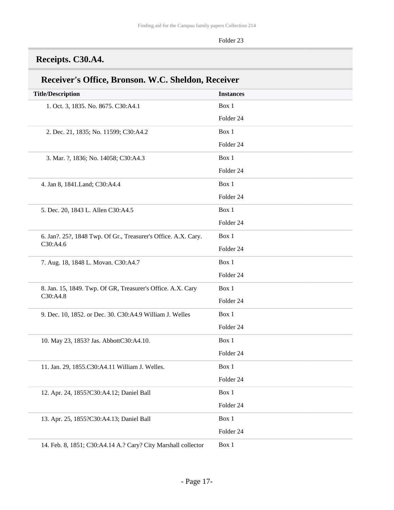## <span id="page-16-0"></span>**Receipts. C30.A4.**

| <b>Title/Description</b>                                       | <b>Instances</b> |
|----------------------------------------------------------------|------------------|
| 1. Oct. 3, 1835. No. 8675. C30:A4.1                            | Box 1            |
|                                                                | Folder 24        |
| 2. Dec. 21, 1835; No. 11599; C30:A4.2                          | Box 1            |
|                                                                | Folder 24        |
| 3. Mar. ?, 1836; No. 14058; C30:A4.3                           | Box 1            |
|                                                                | Folder 24        |
| 4. Jan 8, 1841. Land; C30: A4.4                                | Box 1            |
|                                                                | Folder 24        |
| 5. Dec. 20, 1843 L. Allen C30:A4.5                             | Box 1            |
|                                                                | Folder 24        |
| 6. Jan?. 25?, 1848 Twp. Of Gr., Treasurer's Office. A.X. Cary. | Box 1            |
| C30:A4.6                                                       | Folder 24        |
| 7. Aug. 18, 1848 L. Movan. C30:A4.7                            | Box 1            |
|                                                                | Folder 24        |
| 8. Jan. 15, 1849. Twp. Of GR, Treasurer's Office. A.X. Cary    | Box 1            |
| C30:A4.8                                                       | Folder 24        |
| 9. Dec. 10, 1852. or Dec. 30. C30:A4.9 William J. Welles       | Box 1            |
|                                                                | Folder 24        |
| 10. May 23, 1853? Jas. AbbottC30:A4.10.                        | Box 1            |
|                                                                | Folder 24        |
| 11. Jan. 29, 1855.C30:A4.11 William J. Welles.                 | Box 1            |
|                                                                | Folder 24        |
| 12. Apr. 24, 1855?C30:A4.12; Daniel Ball                       | Box 1            |
|                                                                | Folder 24        |
| 13. Apr. 25, 1855?C30:A4.13; Daniel Ball                       | Box 1            |
|                                                                | Folder 24        |
| 14. Feb. 8, 1851; C30:A4.14 A.? Cary? City Marshall collector  | Box 1            |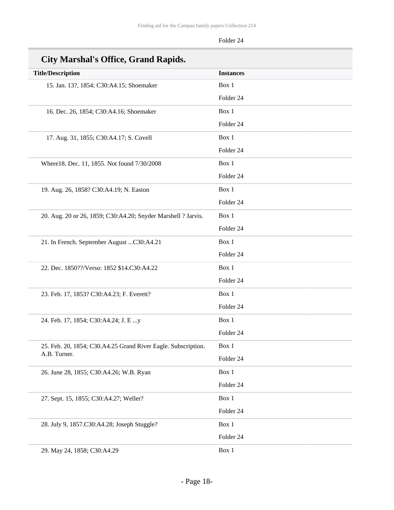| City Marshal's Office, Grand Rapids.                          |                  |
|---------------------------------------------------------------|------------------|
| <b>Title/Description</b>                                      | <b>Instances</b> |
| 15. Jan. 13?, 1854; C30:A4.15; Shoemaker                      | Box 1            |
|                                                               | Folder 24        |
| 16. Dec. 26, 1854; C30:A4.16; Shoemaker                       | Box 1            |
|                                                               | Folder 24        |
| 17. Aug. 31, 1855; C30:A4.17; S. Covell                       | Box 1            |
|                                                               | Folder 24        |
| Where18. Dec. 11, 1855. Not found 7/30/2008                   | Box 1            |
|                                                               | Folder 24        |
| 19. Aug. 26, 1858? C30:A4.19; N. Easton                       | Box 1            |
|                                                               | Folder 24        |
| 20. Aug. 20 or 26, 1859; C30:A4.20; Snyder Marshell ? Jarvis. | Box 1            |
|                                                               | Folder 24        |
| 21. In French. September August C30:A4.21                     | Box 1            |
|                                                               | Folder 24        |
| 22. Dec. 1850??/Verso: 1852 \$14.C30:A4.22                    | Box 1            |
|                                                               | Folder 24        |
| 23. Feb. 17, 1853? C30:A4.23; F. Everett?                     | Box 1            |
|                                                               | Folder 24        |
| 24. Feb. 17, 1854; C30:A4.24; J. E y                          | Box 1            |
|                                                               | Folder 24        |
| 25. Feb. 20, 1854; C30.A4.25 Grand River Eagle. Subscription. | Box 1            |
| A.B. Turner.                                                  | Folder 24        |
| 26. June 28, 1855; C30:A4.26; W.B. Ryan                       | Box 1            |
|                                                               | Folder 24        |
| 27. Sept. 15, 1855; C30:A4.27; Weller?                        | Box 1            |
|                                                               | Folder 24        |
| 28. July 9, 1857.C30:A4.28; Joseph Stuggle?                   | Box 1            |
|                                                               | Folder 24        |
| 29. May 24, 1858; C30:A4.29                                   | Box 1            |

#### **City Marshal's Office, Grand Rapids.**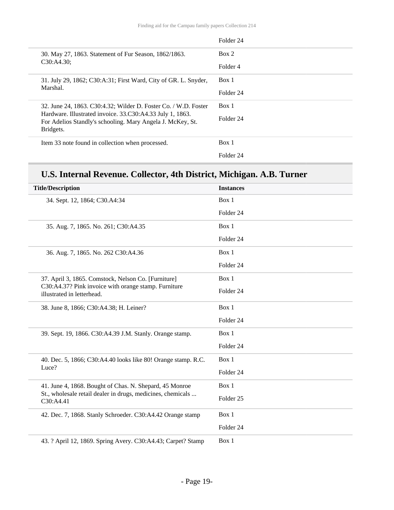|                                                                                                                         | Folder 24 |
|-------------------------------------------------------------------------------------------------------------------------|-----------|
| 30. May 27, 1863. Statement of Fur Season, 1862/1863.<br>C30:AA.30;                                                     | Box 2     |
|                                                                                                                         | Folder 4  |
| 31. July 29, 1862; C30:A:31; First Ward, City of GR. L. Snyder,                                                         | Box 1     |
| Marshal.                                                                                                                | Folder 24 |
| 32. June 24, 1863. C30:4.32; Wilder D. Foster Co. / W.D. Foster                                                         | Box 1     |
| Hardware. Illustrated invoice. 33.C30:A4.33 July 1, 1863.<br>For Adelios Standly's schooling. Mary Angela J. McKey, St. | Folder 24 |
| Bridgets.                                                                                                               |           |
| Item 33 note found in collection when processed.                                                                        | Box 1     |
|                                                                                                                         | Folder 24 |

## **U.S. Internal Revenue. Collector, 4th District, Michigan. A.B. Turner**

| <b>Title/Description</b>                                                                                                                  | <b>Instances</b>     |
|-------------------------------------------------------------------------------------------------------------------------------------------|----------------------|
| 34. Sept. 12, 1864; C30.A4:34                                                                                                             | Box 1                |
|                                                                                                                                           | Folder 24            |
| 35. Aug. 7, 1865. No. 261; C30:A4.35                                                                                                      | Box 1                |
|                                                                                                                                           | Folder 24            |
| 36. Aug. 7, 1865. No. 262 C30:A4.36                                                                                                       | Box 1                |
|                                                                                                                                           | Folder 24            |
| 37. April 3, 1865. Comstock, Nelson Co. [Furniture]<br>C30:A4.37? Pink invoice with orange stamp. Furniture<br>illustrated in letterhead. | Box 1                |
|                                                                                                                                           | Folder 24            |
| 38. June 8, 1866; C30:A4.38; H. Leiner?                                                                                                   | Box 1                |
|                                                                                                                                           | Folder 24            |
| 39. Sept. 19, 1866. C30:A4.39 J.M. Stanly. Orange stamp.                                                                                  | Box 1                |
|                                                                                                                                           | Folder 24            |
| 40. Dec. 5, 1866; C30:A4.40 looks like 80! Orange stamp. R.C.<br>Luce?                                                                    | Box 1                |
|                                                                                                                                           | Folder 24            |
| 41. June 4, 1868. Bought of Chas. N. Shepard, 45 Monroe<br>St., wholesale retail dealer in drugs, medicines, chemicals<br>C30:A4.41       | Box 1                |
|                                                                                                                                           | Folder <sub>25</sub> |
| 42. Dec. 7, 1868. Stanly Schroeder. C30:A4.42 Orange stamp                                                                                | Box 1                |
|                                                                                                                                           | Folder 24            |
| 43. ? April 12, 1869. Spring Avery. C30:A4.43; Carpet? Stamp                                                                              | Box 1                |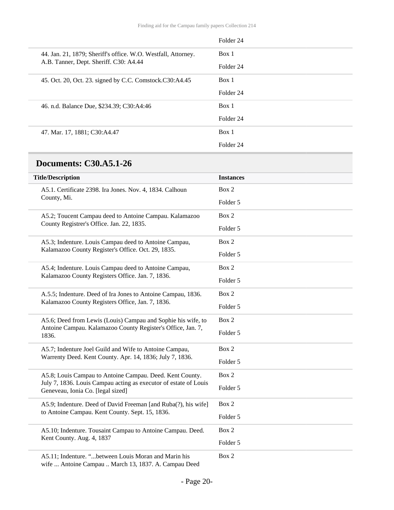|                                                                                                         | Folder 24            |
|---------------------------------------------------------------------------------------------------------|----------------------|
| 44. Jan. 21, 1879; Sheriff's office. W.O. Westfall, Attorney.<br>A.B. Tanner, Dept. Sheriff. C30: A4.44 | Box 1                |
|                                                                                                         | Folder 24            |
| 45. Oct. 20, Oct. 23. signed by C.C. Comstock.C30:A4.45                                                 | Box 1                |
|                                                                                                         | Folder <sub>24</sub> |
| 46. n.d. Balance Due, \$234.39; C30:A4:46                                                               | Box 1                |
|                                                                                                         | Folder 24            |
| 47. Mar. 17, 1881; C30:A4.47                                                                            | Box 1                |
|                                                                                                         | Folder <sub>24</sub> |

### <span id="page-19-0"></span>**Documents: C30.A5.1-26**

| <b>Title/Description</b>                                                                                                                                          | <b>Instances</b> |
|-------------------------------------------------------------------------------------------------------------------------------------------------------------------|------------------|
| A5.1. Certificate 2398. Ira Jones. Nov. 4, 1834. Calhoun<br>County, Mi.                                                                                           | Box 2            |
|                                                                                                                                                                   | Folder 5         |
| A5.2; Toucent Campau deed to Antoine Campau. Kalamazoo<br>County Registrer's Office. Jan. 22, 1835.                                                               | Box 2            |
|                                                                                                                                                                   | Folder 5         |
| A5.3; Indenture. Louis Campau deed to Antoine Campau,<br>Kalamazoo County Register's Office. Oct. 29, 1835.                                                       | Box 2            |
|                                                                                                                                                                   | Folder 5         |
| A5.4; Indenture. Louis Campau deed to Antoine Campau,<br>Kalamazoo County Registers Office. Jan. 7, 1836.                                                         | Box 2            |
|                                                                                                                                                                   | Folder 5         |
| A.5.5; Indenture. Deed of Ira Jones to Antoine Campau, 1836.<br>Kalamazoo County Registers Office, Jan. 7, 1836.                                                  | Box 2            |
|                                                                                                                                                                   | Folder 5         |
| A5.6; Deed from Lewis (Louis) Campau and Sophie his wife, to<br>Antoine Campau. Kalamazoo County Register's Office, Jan. 7,<br>1836.                              | Box 2            |
|                                                                                                                                                                   | Folder 5         |
| A5.7; Indenture Joel Guild and Wife to Antoine Campau,<br>Warrenty Deed. Kent County. Apr. 14, 1836; July 7, 1836.                                                | Box 2            |
|                                                                                                                                                                   | Folder 5         |
| A5.8; Louis Campau to Antoine Campau. Deed. Kent County.<br>July 7, 1836. Louis Campau acting as executor of estate of Louis<br>Geneveau, Ionia Co. [legal sized] | Box 2            |
|                                                                                                                                                                   | Folder 5         |
| A5.9; Indenture. Deed of David Freeman [and Ruba(?), his wife]<br>to Antoine Campau. Kent County. Sept. 15, 1836.                                                 | Box 2            |
|                                                                                                                                                                   | Folder 5         |
| A5.10; Indenture. Tousaint Campau to Antoine Campau. Deed.<br>Kent County. Aug. 4, 1837                                                                           | Box 2            |
|                                                                                                                                                                   | Folder 5         |
| A5.11; Indenture. "between Louis Moran and Marin his<br>wife  Antoine Campau  March 13, 1837. A. Campau Deed                                                      | Box 2            |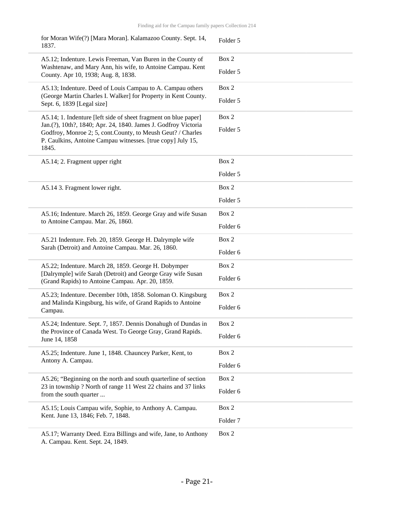| for Moran Wife(?) [Mara Moran]. Kalamazoo County. Sept. 14,<br>1837.                                                                                                                                                                                                      | Folder 5            |
|---------------------------------------------------------------------------------------------------------------------------------------------------------------------------------------------------------------------------------------------------------------------------|---------------------|
| A5.12; Indenture. Lewis Freeman, Van Buren in the County of<br>Washtenaw, and Mary Ann, his wife, to Antoine Campau. Kent<br>County. Apr 10, 1938; Aug. 8, 1838.                                                                                                          | Box 2               |
|                                                                                                                                                                                                                                                                           | Folder 5            |
| A5.13; Indenture. Deed of Louis Campau to A. Campau others<br>(George Martin Charles I. Walker] for Property in Kent County.<br>Sept. 6, 1839 [Legal size]                                                                                                                | Box 2               |
|                                                                                                                                                                                                                                                                           | Folder 5            |
| A5.14; 1. Indenture [left side of sheet fragment on blue paper]<br>Jan.(?), 10th?, 1840; Apr. 24, 1840. James J. Godfroy Victoria<br>Godfroy, Monroe 2; 5, cont. County, to Meush Geut? / Charles<br>P. Caulkins, Antoine Campau witnesses. [true copy] July 15,<br>1845. | Box 2               |
|                                                                                                                                                                                                                                                                           | Folder 5            |
| A5.14; 2. Fragment upper right                                                                                                                                                                                                                                            | Box 2               |
|                                                                                                                                                                                                                                                                           | Folder 5            |
| A5.14 3. Fragment lower right.                                                                                                                                                                                                                                            | Box 2               |
|                                                                                                                                                                                                                                                                           | Folder 5            |
| A5.16; Indenture. March 26, 1859. George Gray and wife Susan<br>to Antoine Campau. Mar. 26, 1860.                                                                                                                                                                         | Box 2               |
|                                                                                                                                                                                                                                                                           | Folder 6            |
| A5.21 Indenture. Feb. 20, 1859. George H. Dalrymple wife<br>Sarah (Detroit) and Antoine Campau. Mar. 26, 1860.                                                                                                                                                            | Box 2               |
|                                                                                                                                                                                                                                                                           | Folder 6            |
| A5.22; Indenture. March 28, 1859. George H. Dobymper<br>[Dalrymple] wife Sarah (Detroit) and George Gray wife Susan                                                                                                                                                       | Box 2               |
| (Grand Rapids) to Antoine Campau. Apr. 20, 1859.                                                                                                                                                                                                                          | Folder 6            |
| A5.23; Indenture. December 10th, 1858. Soloman O. Kingsburg                                                                                                                                                                                                               | Box 2               |
| and Malinda Kingsburg, his wife, of Grand Rapids to Antoine<br>Campau.                                                                                                                                                                                                    | Folder 6            |
| A5.24; Indenture. Sept. 7, 1857. Dennis Donahugh of Dundas in<br>the Province of Canada West. To George Gray, Grand Rapids.<br>June 14, 1858                                                                                                                              | Box 2               |
|                                                                                                                                                                                                                                                                           | Folder 6            |
| A5.25; Indenture. June 1, 1848. Chauncey Parker, Kent, to<br>Antony A. Campau.                                                                                                                                                                                            | Box 2               |
|                                                                                                                                                                                                                                                                           | Folder 6            |
| A5.26; "Beginning on the north and south quarterline of section<br>23 in township ? North of range 11 West 22 chains and 37 links<br>from the south quarter                                                                                                               | Box 2               |
|                                                                                                                                                                                                                                                                           | Folder 6            |
| A5.15; Louis Campau wife, Sophie, to Anthony A. Campau.<br>Kent. June 13, 1846; Feb. 7, 1848.                                                                                                                                                                             | Box 2               |
|                                                                                                                                                                                                                                                                           | Folder <sub>7</sub> |
| A5.17; Warranty Deed. Ezra Billings and wife, Jane, to Anthony<br>A. Campau. Kent. Sept. 24, 1849.                                                                                                                                                                        | Box 2               |